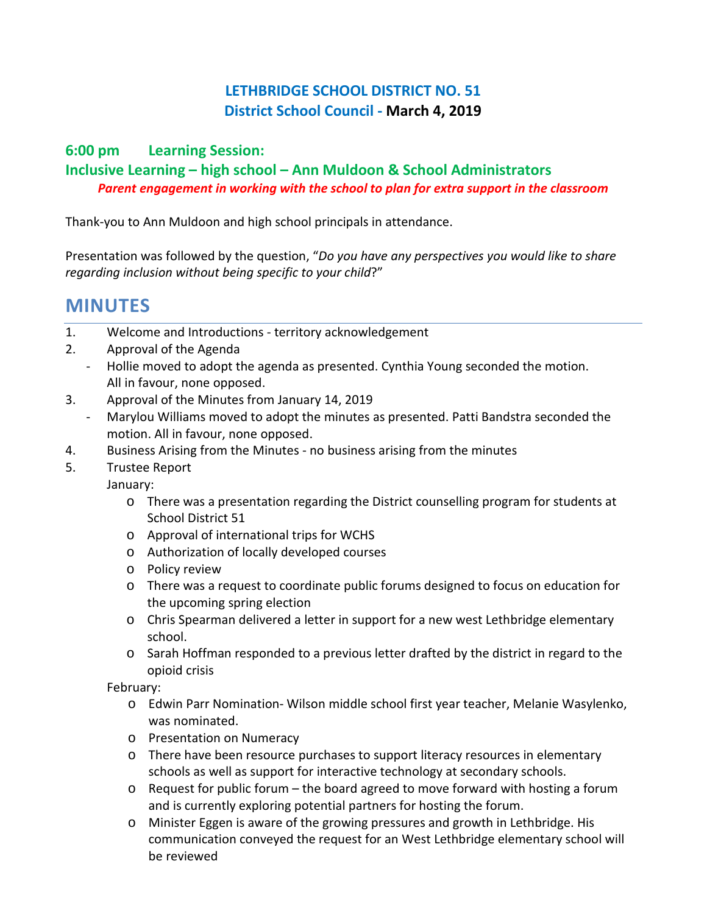## **LETHBRIDGE SCHOOL DISTRICT NO. 51 District School Council - March 4, 2019**

#### **6:00 pm Learning Session:**

### **Inclusive Learning – high school – Ann Muldoon & School Administrators** *Parent engagement in working with the school to plan for extra support in the classroom*

Thank-you to Ann Muldoon and high school principals in attendance.

Presentation was followed by the question, "*Do you have any perspectives you would like to share regarding inclusion without being specific to your child*?"

# **MINUTES**

- 1. Welcome and Introductions territory acknowledgement
- 2. Approval of the Agenda
	- Hollie moved to adopt the agenda as presented. Cynthia Young seconded the motion. All in favour, none opposed.
- 3. Approval of the Minutes from January 14, 2019
	- Marylou Williams moved to adopt the minutes as presented. Patti Bandstra seconded the motion. All in favour, none opposed.
- 4. Business Arising from the Minutes no business arising from the minutes
- 5. Trustee Report
	- January:
		- o There was a presentation regarding the District counselling program for students at School District 51
		- o Approval of international trips for WCHS
		- o Authorization of locally developed courses
		- o Policy review
		- o There was a request to coordinate public forums designed to focus on education for the upcoming spring election
		- o Chris Spearman delivered a letter in support for a new west Lethbridge elementary school.
		- o Sarah Hoffman responded to a previous letter drafted by the district in regard to the opioid crisis

February:

- o Edwin Parr Nomination- Wilson middle school first year teacher, Melanie Wasylenko, was nominated.
- o Presentation on Numeracy
- o There have been resource purchases to support literacy resources in elementary schools as well as support for interactive technology at secondary schools.
- $\circ$  Request for public forum the board agreed to move forward with hosting a forum and is currently exploring potential partners for hosting the forum.
- o Minister Eggen is aware of the growing pressures and growth in Lethbridge. His communication conveyed the request for an West Lethbridge elementary school will be reviewed